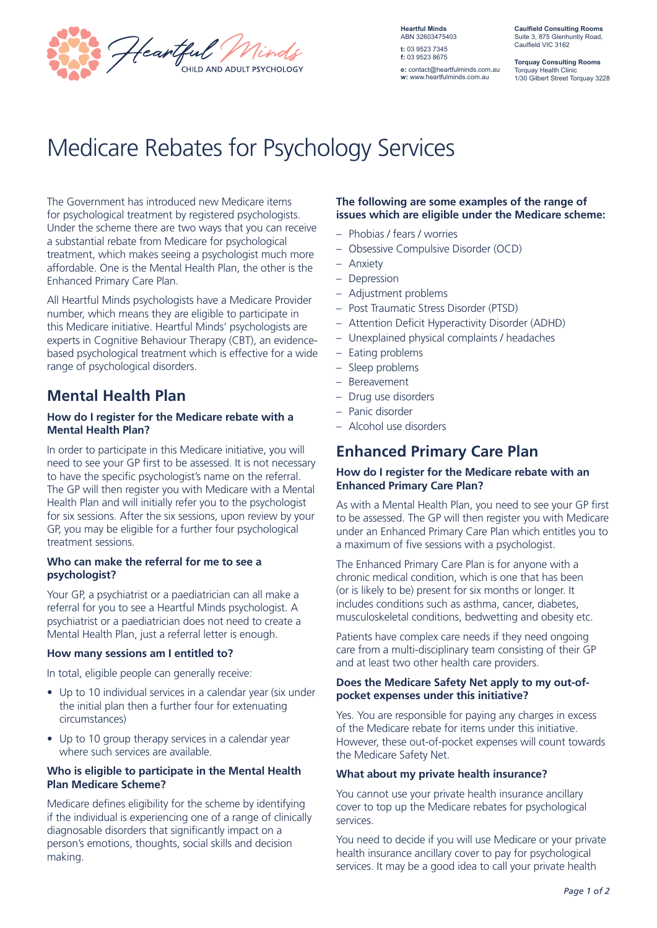

**Heartful Minds** ABN 32603475403 **t:** 03 9523 7345 **f:** 03 9523 8675 **e:** contact@heartfulminds.com.au **w:** www.heartfulminds.com.au

**Caulfield Consulting Rooms** Suite 3, 875 Glenhuntly Road, Caulfield VIC 3162

**Torquay Consulting Rooms** Torquay Health Clinic 1/30 Gilbert Street Torquay 3228

# Medicare Rebates for Psychology Services

The Government has introduced new Medicare items for psychological treatment by registered psychologists. Under the scheme there are two ways that you can receive a substantial rebate from Medicare for psychological treatment, which makes seeing a psychologist much more affordable. One is the Mental Health Plan, the other is the Enhanced Primary Care Plan.

All Heartful Minds psychologists have a Medicare Provider number, which means they are eligible to participate in this Medicare initiative. Heartful Minds' psychologists are experts in Cognitive Behaviour Therapy (CBT), an evidencebased psychological treatment which is effective for a wide range of psychological disorders.

## **Mental Health Plan**

#### **How do I register for the Medicare rebate with a Mental Health Plan?**

In order to participate in this Medicare initiative, you will need to see your GP first to be assessed. It is not necessary to have the specific psychologist's name on the referral. The GP will then register you with Medicare with a Mental Health Plan and will initially refer you to the psychologist for six sessions. After the six sessions, upon review by your GP, you may be eligible for a further four psychological treatment sessions.

#### **Who can make the referral for me to see a psychologist?**

Your GP, a psychiatrist or a paediatrician can all make a referral for you to see a Heartful Minds psychologist. A psychiatrist or a paediatrician does not need to create a Mental Health Plan, just a referral letter is enough.

#### **How many sessions am I entitled to?**

In total, eligible people can generally receive:

- Up to 10 individual services in a calendar year (six under the initial plan then a further four for extenuating circumstances)
- Up to 10 group therapy services in a calendar year where such services are available.

#### **Who is eligible to participate in the Mental Health Plan Medicare Scheme?**

Medicare defines eligibility for the scheme by identifying if the individual is experiencing one of a range of clinically diagnosable disorders that significantly impact on a person's emotions, thoughts, social skills and decision making.

#### **The following are some examples of the range of issues which are eligible under the Medicare scheme:**

- Phobias / fears / worries
- Obsessive Compulsive Disorder (OCD)
- Anxiety
- Depression
- Adjustment problems
- Post Traumatic Stress Disorder (PTSD)
- Attention Deficit Hyperactivity Disorder (ADHD)
- Unexplained physical complaints / headaches
- Eating problems
- Sleep problems
- Bereavement
- Drug use disorders
- Panic disorder
- Alcohol use disorders

### **Enhanced Primary Care Plan**

#### **How do I register for the Medicare rebate with an Enhanced Primary Care Plan?**

As with a Mental Health Plan, you need to see your GP first to be assessed. The GP will then register you with Medicare under an Enhanced Primary Care Plan which entitles you to a maximum of five sessions with a psychologist.

The Enhanced Primary Care Plan is for anyone with a chronic medical condition, which is one that has been (or is likely to be) present for six months or longer. It includes conditions such as asthma, cancer, diabetes, musculoskeletal conditions, bedwetting and obesity etc.

Patients have complex care needs if they need ongoing care from a multi-disciplinary team consisting of their GP and at least two other health care providers.

#### **Does the Medicare Safety Net apply to my out-ofpocket expenses under this initiative?**

Yes. You are responsible for paying any charges in excess of the Medicare rebate for items under this initiative. However, these out-of-pocket expenses will count towards the Medicare Safety Net.

#### **What about my private health insurance?**

You cannot use your private health insurance ancillary cover to top up the Medicare rebates for psychological services.

You need to decide if you will use Medicare or your private health insurance ancillary cover to pay for psychological services. It may be a good idea to call your private health